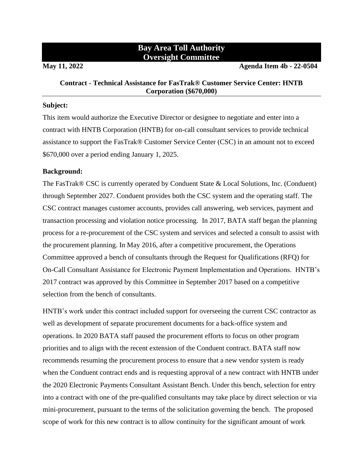# **Bay Area Toll Authority Oversight Committee**

**May 11, 2022 Agenda Item 4b - 22-0504**

## **Contract - Technical Assistance for FasTrak® Customer Service Center: HNTB Corporation (\$670,000)**

#### **Subject:**

This item would authorize the Executive Director or designee to negotiate and enter into a contract with HNTB Corporation (HNTB) for on-call consultant services to provide technical assistance to support the FasTrak® Customer Service Center (CSC) in an amount not to exceed \$670,000 over a period ending January 1, 2025.

## **Background:**

The FasTrak® CSC is currently operated by Conduent State & Local Solutions, Inc. (Conduent) through September 2027. Conduent provides both the CSC system and the operating staff. The CSC contract manages customer accounts, provides call answering, web services, payment and transaction processing and violation notice processing. In 2017, BATA staff began the planning process for a re-procurement of the CSC system and services and selected a consult to assist with the procurement planning. In May 2016, after a competitive procurement, the Operations Committee approved a bench of consultants through the Request for Qualifications (RFQ) for On-Call Consultant Assistance for Electronic Payment Implementation and Operations. HNTB's 2017 contract was approved by this Committee in September 2017 based on a competitive selection from the bench of consultants.

HNTB's work under this contract included support for overseeing the current CSC contractor as well as development of separate procurement documents for a back-office system and operations. In 2020 BATA staff paused the procurement efforts to focus on other program priorities and to align with the recent extension of the Conduent contract. BATA staff now recommends resuming the procurement process to ensure that a new vendor system is ready when the Conduent contract ends and is requesting approval of a new contract with HNTB under the 2020 Electronic Payments Consultant Assistant Bench. Under this bench, selection for entry into a contract with one of the pre-qualified consultants may take place by direct selection or via mini-procurement, pursuant to the terms of the solicitation governing the bench. The proposed scope of work for this new contract is to allow continuity for the significant amount of work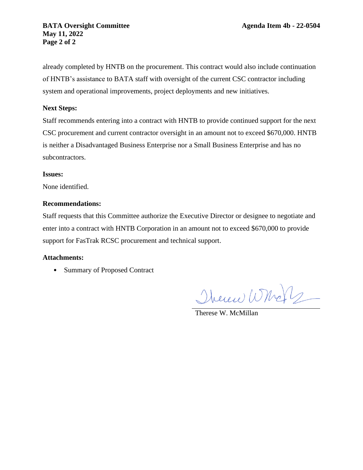already completed by HNTB on the procurement. This contract would also include continuation of HNTB's assistance to BATA staff with oversight of the current CSC contractor including system and operational improvements, project deployments and new initiatives.

## **Next Steps:**

Staff recommends entering into a contract with HNTB to provide continued support for the next CSC procurement and current contractor oversight in an amount not to exceed \$670,000. HNTB is neither a Disadvantaged Business Enterprise nor a Small Business Enterprise and has no subcontractors.

## **Issues:**

None identified.

## **Recommendations:**

Staff requests that this Committee authorize the Executive Director or designee to negotiate and enter into a contract with HNTB Corporation in an amount not to exceed \$670,000 to provide support for FasTrak RCSC procurement and technical support.

## **Attachments:**

• Summary of Proposed Contract

Therene Whole

Therese W. McMillan